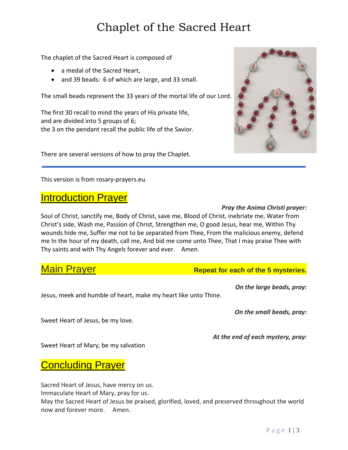# Chaplet of the Sacred Heart

The chaplet of the Sacred Heart is composed of

- a medal of the Sacred Heart,
- and 39 beads: 6 of which are large, and 33 small.

The small beads represent the 33 years of the mortal life of our Lord.

The first 30 recall to mind the years of His private life, and are divided into 5 groups of 6; the 3 on the pendant recall the public life of the Savior.

There are several versions of how to pray the Chaplet.

This version is from rosary-prayers.eu.

## **Introduction Prayer**

### Soul of Christ, sanctify me, Body of Christ, save me, Blood of Christ, inebriate me, Water from Christ's side, Wash me, Passion of Christ, Strengthen me, O good Jesus, hear me, Within Thy wounds hide me, Suffer me not to be separated from Thee, From the malicious enemy, defend me In the hour of my death, call me, And bid me come unto Thee, That I may praise Thee with Thy saints and with Thy Angels forever and ever. Amen.

## **Main Prayer Mathews Repeat for each of the 5 mysteries.**

Jesus, meek and humble of heart, make my heart like unto Thine.

*On the small beads, pray:*

*At the end of each mystery, pray:*

*On the large beads, pray:*

Sweet Heart of Jesus, be my love.

Sweet Heart of Mary, be my salvation

# Concluding Prayer

Sacred Heart of Jesus, have mercy on us.

Immaculate Heart of Mary, pray for us.

May the Sacred Heart of Jesus be praised, glorified, loved, and preserved throughout the world now and forever more. Amen.



### *Pray the Anima Christi prayer:*

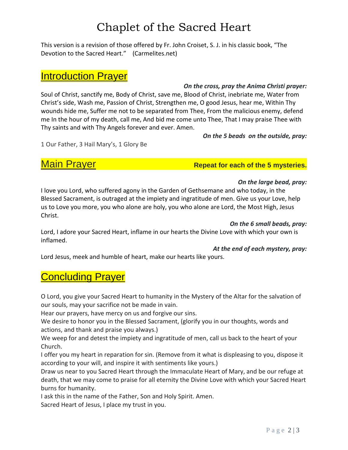# Chaplet of the Sacred Heart

This version is a revision of those offered by Fr. John Croiset, S. J. in his classic book, "The Devotion to the Sacred Heart." (Carmelites.net)

## Introduction Prayer

### *On the cross, pray the Anima Christi prayer:*

Soul of Christ, sanctify me, Body of Christ, save me, Blood of Christ, inebriate me, Water from Christ's side, Wash me, Passion of Christ, Strengthen me, O good Jesus, hear me, Within Thy wounds hide me, Suffer me not to be separated from Thee, From the malicious enemy, defend me In the hour of my death, call me, And bid me come unto Thee, That I may praise Thee with Thy saints and with Thy Angels forever and ever. Amen.

*On the 5 beads on the outside, pray:*

1 Our Father, 3 Hail Mary's, 1 Glory Be

# **Main Prayer <b>Repeat for each of the 5 mysteries.**

### *On the large bead, pray:*

I love you Lord, who suffered agony in the Garden of Gethsemane and who today, in the Blessed Sacrament, is outraged at the impiety and ingratitude of men. Give us your Love, help us to Love you more, you who alone are holy, you who alone are Lord, the Most High, Jesus Christ.

### *On the 6 small beads, pray:*

Lord, I adore your Sacred Heart, inflame in our hearts the Divine Love with which your own is inflamed.

### *At the end of each mystery, pray:*

Lord Jesus, meek and humble of heart, make our hearts like yours.

# **Concluding Prayer**

O Lord, you give your Sacred Heart to humanity in the Mystery of the Altar for the salvation of our souls, may your sacrifice not be made in vain.

Hear our prayers, have mercy on us and forgive our sins.

We desire to honor you in the Blessed Sacrament, (glorify you in our thoughts, words and actions, and thank and praise you always.)

We weep for and detest the impiety and ingratitude of men, call us back to the heart of your Church.

I offer you my heart in reparation for sin. (Remove from it what is displeasing to you, dispose it according to your will, and inspire it with sentiments like yours.)

Draw us near to you Sacred Heart through the Immaculate Heart of Mary, and be our refuge at death, that we may come to praise for all eternity the Divine Love with which your Sacred Heart burns for humanity.

I ask this in the name of the Father, Son and Holy Spirit. Amen.

Sacred Heart of Jesus, I place my trust in you.